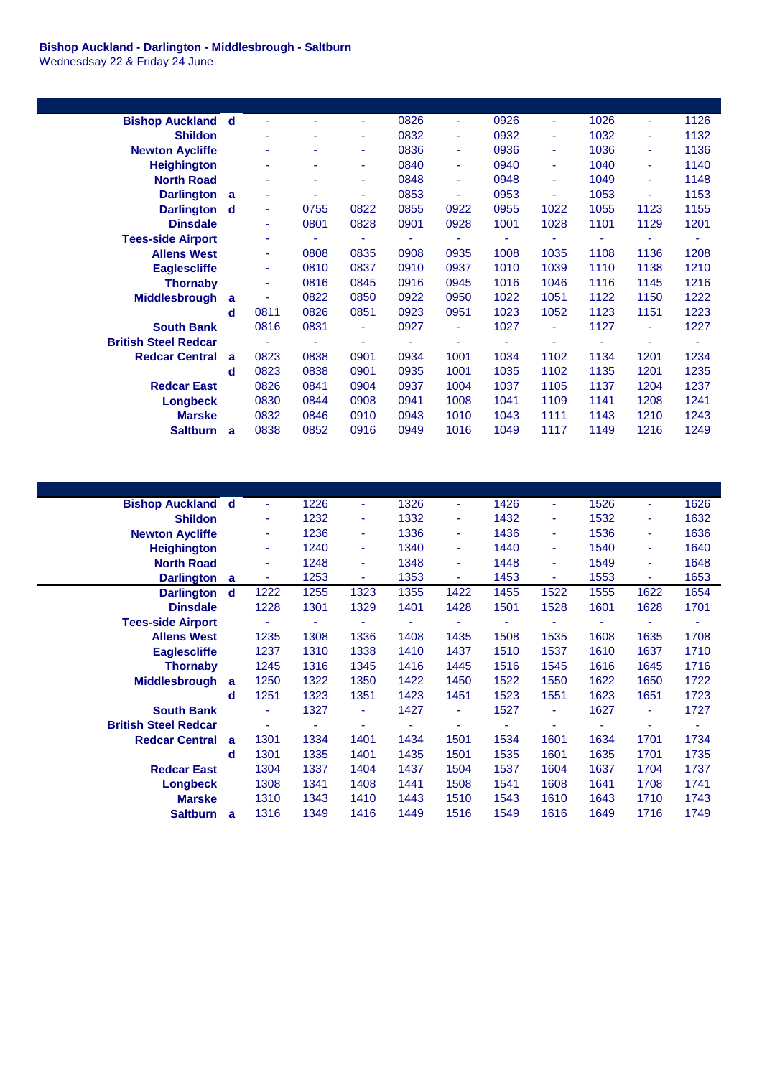**Bishop Auckland - Darlington - Middlesbrough - Saltburn** Wednesdsay 22 & Friday 24 June

| <b>Bishop Auckland</b>      | d | ٠    | ۰    | ٠.   | 0826 | ٠    | 0926                     | ٠              | 1026 | ÷              | 1126 |
|-----------------------------|---|------|------|------|------|------|--------------------------|----------------|------|----------------|------|
| <b>Shildon</b>              |   | ٠    |      | ٠    | 0832 | ٠    | 0932                     | $\blacksquare$ | 1032 | $\blacksquare$ | 1132 |
| <b>Newton Aycliffe</b>      |   | ٠    |      | ٠    | 0836 | ٠    | 0936                     | ٠              | 1036 | ٠              | 1136 |
| <b>Heighington</b>          |   | ۰    |      |      | 0840 | ٠    | 0940                     | $\blacksquare$ | 1040 | ٠              | 1140 |
| <b>North Road</b>           |   | ٠    |      | ٠    | 0848 | ٠    | 0948                     | $\blacksquare$ | 1049 | ٠              | 1148 |
| <b>Darlington</b>           | a | ٠    |      | ٠.   | 0853 | ÷    | 0953                     | ٠              | 1053 | $\sim$         | 1153 |
| <b>Darlington</b>           | d | ÷    | 0755 | 0822 | 0855 | 0922 | 0955                     | 1022           | 1055 | 1123           | 1155 |
| <b>Dinsdale</b>             |   | ٠    | 0801 | 0828 | 0901 | 0928 | 1001                     | 1028           | 1101 | 1129           | 1201 |
| <b>Tees-side Airport</b>    |   | ٠    |      |      |      |      | $\overline{\phantom{a}}$ |                |      |                |      |
| <b>Allens West</b>          |   | ٠    | 0808 | 0835 | 0908 | 0935 | 1008                     | 1035           | 1108 | 1136           | 1208 |
| <b>Eaglescliffe</b>         |   | ÷    | 0810 | 0837 | 0910 | 0937 | 1010                     | 1039           | 1110 | 1138           | 1210 |
| <b>Thornaby</b>             |   | ÷    | 0816 | 0845 | 0916 | 0945 | 1016                     | 1046           | 1116 | 1145           | 1216 |
| <b>Middlesbrough</b>        | a | ٠    | 0822 | 0850 | 0922 | 0950 | 1022                     | 1051           | 1122 | 1150           | 1222 |
|                             | d | 0811 | 0826 | 0851 | 0923 | 0951 | 1023                     | 1052           | 1123 | 1151           | 1223 |
| <b>South Bank</b>           |   | 0816 | 0831 | ÷    | 0927 | ٠    | 1027                     | $\blacksquare$ | 1127 | $\blacksquare$ | 1227 |
| <b>British Steel Redcar</b> |   | ä,   | ٠    |      |      | ٠    | ٠                        | ٠              |      |                |      |
| <b>Redcar Central</b>       | a | 0823 | 0838 | 0901 | 0934 | 1001 | 1034                     | 1102           | 1134 | 1201           | 1234 |
|                             | d | 0823 | 0838 | 0901 | 0935 | 1001 | 1035                     | 1102           | 1135 | 1201           | 1235 |
| <b>Redcar East</b>          |   | 0826 | 0841 | 0904 | 0937 | 1004 | 1037                     | 1105           | 1137 | 1204           | 1237 |
| <b>Longbeck</b>             |   | 0830 | 0844 | 0908 | 0941 | 1008 | 1041                     | 1109           | 1141 | 1208           | 1241 |
| <b>Marske</b>               |   | 0832 | 0846 | 0910 | 0943 | 1010 | 1043                     | 1111           | 1143 | 1210           | 1243 |
| <b>Saltburn</b>             | a | 0838 | 0852 | 0916 | 0949 | 1016 | 1049                     | 1117           | 1149 | 1216           | 1249 |
|                             |   |      |      |      |      |      |                          |                |      |                |      |

| <b>Bishop Auckland</b>      | d | ÷    | 1226 | ٠    | 1326 | ٠    | 1426 | $\blacksquare$ | 1526 | ÷              | 1626 |
|-----------------------------|---|------|------|------|------|------|------|----------------|------|----------------|------|
| <b>Shildon</b>              |   | ٠    | 1232 | ٠    | 1332 | ÷    | 1432 | $\blacksquare$ | 1532 | $\blacksquare$ | 1632 |
| <b>Newton Aycliffe</b>      |   | ٠    | 1236 | ٠    | 1336 | ٠    | 1436 | ٠              | 1536 | ٠              | 1636 |
| <b>Heighington</b>          |   | ٠    | 1240 | ٠    | 1340 | ٠    | 1440 | $\blacksquare$ | 1540 | ٠              | 1640 |
| <b>North Road</b>           |   | ٠    | 1248 | ٠    | 1348 | ÷    | 1448 | $\blacksquare$ | 1549 | ٠              | 1648 |
| <b>Darlington</b>           | a | ٠    | 1253 | ٠    | 1353 | ٠    | 1453 | ٠              | 1553 | $\blacksquare$ | 1653 |
| <b>Darlington</b>           | d | 1222 | 1255 | 1323 | 1355 | 1422 | 1455 | 1522           | 1555 | 1622           | 1654 |
| <b>Dinsdale</b>             |   | 1228 | 1301 | 1329 | 1401 | 1428 | 1501 | 1528           | 1601 | 1628           | 1701 |
| <b>Tees-side Airport</b>    |   |      | ٠    |      | ۰    |      |      |                |      |                |      |
| <b>Allens West</b>          |   | 1235 | 1308 | 1336 | 1408 | 1435 | 1508 | 1535           | 1608 | 1635           | 1708 |
| <b>Eaglescliffe</b>         |   | 1237 | 1310 | 1338 | 1410 | 1437 | 1510 | 1537           | 1610 | 1637           | 1710 |
| <b>Thornaby</b>             |   | 1245 | 1316 | 1345 | 1416 | 1445 | 1516 | 1545           | 1616 | 1645           | 1716 |
| <b>Middlesbrough</b>        | a | 1250 | 1322 | 1350 | 1422 | 1450 | 1522 | 1550           | 1622 | 1650           | 1722 |
|                             | d | 1251 | 1323 | 1351 | 1423 | 1451 | 1523 | 1551           | 1623 | 1651           | 1723 |
| <b>South Bank</b>           |   | ٠    | 1327 | ٠    | 1427 | ٠    | 1527 | ٠              | 1627 | ٠              | 1727 |
| <b>British Steel Redcar</b> |   | ٠    | ٠    |      | ۰    | ٠    | ٠    | ٠              |      |                |      |
| <b>Redcar Central</b>       | a | 1301 | 1334 | 1401 | 1434 | 1501 | 1534 | 1601           | 1634 | 1701           | 1734 |
|                             | d | 1301 | 1335 | 1401 | 1435 | 1501 | 1535 | 1601           | 1635 | 1701           | 1735 |
| <b>Redcar East</b>          |   | 1304 | 1337 | 1404 | 1437 | 1504 | 1537 | 1604           | 1637 | 1704           | 1737 |
| Longbeck                    |   | 1308 | 1341 | 1408 | 1441 | 1508 | 1541 | 1608           | 1641 | 1708           | 1741 |
| <b>Marske</b>               |   | 1310 | 1343 | 1410 | 1443 | 1510 | 1543 | 1610           | 1643 | 1710           | 1743 |
| <b>Saltburn</b>             | a | 1316 | 1349 | 1416 | 1449 | 1516 | 1549 | 1616           | 1649 | 1716           | 1749 |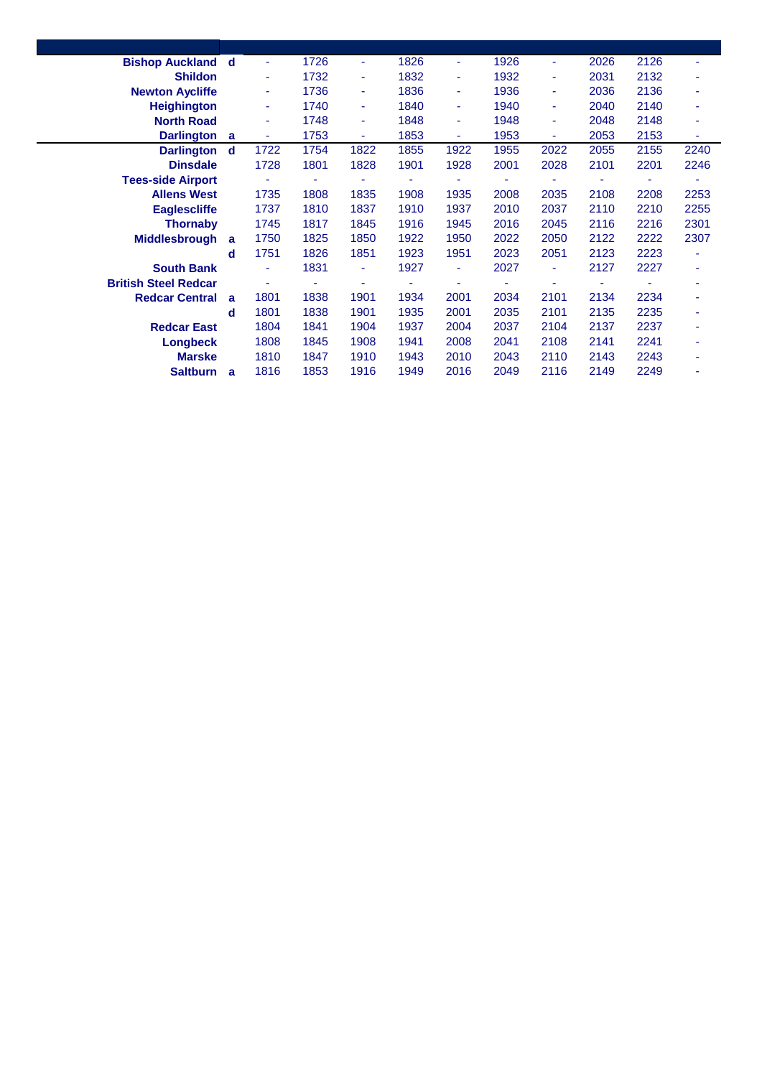| <b>Bishop Auckland</b>      | - d      | ÷    | 1726 | ٠    | 1826 | ٠    | 1926 | ٠    | 2026 | 2126 | ٠    |
|-----------------------------|----------|------|------|------|------|------|------|------|------|------|------|
| <b>Shildon</b>              |          | ٠    | 1732 | ٠    | 1832 | ٠    | 1932 | ٠    | 2031 | 2132 | ٠    |
| <b>Newton Aycliffe</b>      |          | ٠    | 1736 | ٠    | 1836 | ٠    | 1936 | ٠    | 2036 | 2136 | ٠    |
| <b>Heighington</b>          |          | ٠    | 1740 | ÷.   | 1840 | ٠    | 1940 | ٠    | 2040 | 2140 | ٠    |
| <b>North Road</b>           |          | ٠    | 1748 | ٠    | 1848 | ٠    | 1948 | ٠    | 2048 | 2148 | ٠    |
| <b>Darlington</b>           | <b>a</b> | ٠    | 1753 | ٠    | 1853 | ٠    | 1953 | ٠    | 2053 | 2153 | ٠    |
| <b>Darlington</b>           | d        | 1722 | 1754 | 1822 | 1855 | 1922 | 1955 | 2022 | 2055 | 2155 | 2240 |
| <b>Dinsdale</b>             |          | 1728 | 1801 | 1828 | 1901 | 1928 | 2001 | 2028 | 2101 | 2201 | 2246 |
| <b>Tees-side Airport</b>    |          | ۰    |      |      |      |      |      |      |      |      |      |
| <b>Allens West</b>          |          | 1735 | 1808 | 1835 | 1908 | 1935 | 2008 | 2035 | 2108 | 2208 | 2253 |
| <b>Eaglescliffe</b>         |          | 1737 | 1810 | 1837 | 1910 | 1937 | 2010 | 2037 | 2110 | 2210 | 2255 |
| <b>Thornaby</b>             |          | 1745 | 1817 | 1845 | 1916 | 1945 | 2016 | 2045 | 2116 | 2216 | 2301 |
| <b>Middlesbrough</b>        | a        | 1750 | 1825 | 1850 | 1922 | 1950 | 2022 | 2050 | 2122 | 2222 | 2307 |
|                             | d        | 1751 | 1826 | 1851 | 1923 | 1951 | 2023 | 2051 | 2123 | 2223 | ٠    |
| <b>South Bank</b>           |          | ä,   | 1831 | ٠    | 1927 | ÷    | 2027 | ٠    | 2127 | 2227 | ٠    |
| <b>British Steel Redcar</b> |          | ۰    |      |      |      |      | ۰    | ٠    |      |      | ٠    |
| <b>Redcar Central</b>       | a        | 1801 | 1838 | 1901 | 1934 | 2001 | 2034 | 2101 | 2134 | 2234 | ٠    |
|                             | d        | 1801 | 1838 | 1901 | 1935 | 2001 | 2035 | 2101 | 2135 | 2235 | ÷    |
| <b>Redcar East</b>          |          | 1804 | 1841 | 1904 | 1937 | 2004 | 2037 | 2104 | 2137 | 2237 | ٠    |
| Longbeck                    |          | 1808 | 1845 | 1908 | 1941 | 2008 | 2041 | 2108 | 2141 | 2241 | ٠    |
| <b>Marske</b>               |          | 1810 | 1847 | 1910 | 1943 | 2010 | 2043 | 2110 | 2143 | 2243 | ٠    |
| <b>Saltburn</b>             | a        | 1816 | 1853 | 1916 | 1949 | 2016 | 2049 | 2116 | 2149 | 2249 | ۰    |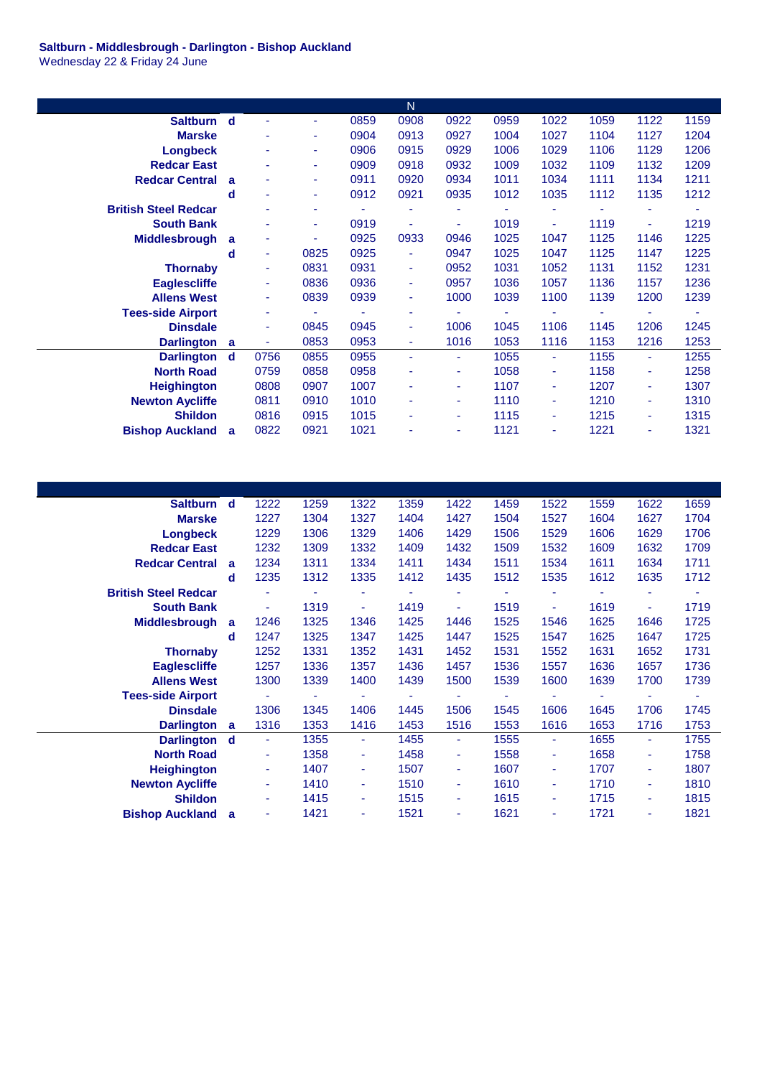## **Saltburn - Middlesbrough - Darlington - Bishop Auckland** Wednesday 22 & Friday 24 June

|                             |   |      |      |      | $\mathsf{N}$ |      |      |      |      |      |      |
|-----------------------------|---|------|------|------|--------------|------|------|------|------|------|------|
| Saltburn d                  |   |      | ٠    | 0859 | 0908         | 0922 | 0959 | 1022 | 1059 | 1122 | 1159 |
| <b>Marske</b>               |   |      | ٠    | 0904 | 0913         | 0927 | 1004 | 1027 | 1104 | 1127 | 1204 |
| <b>Longbeck</b>             |   |      | ٠    | 0906 | 0915         | 0929 | 1006 | 1029 | 1106 | 1129 | 1206 |
| <b>Redcar East</b>          |   |      | ۰    | 0909 | 0918         | 0932 | 1009 | 1032 | 1109 | 1132 | 1209 |
| <b>Redcar Central</b>       | a |      | ۰    | 0911 | 0920         | 0934 | 1011 | 1034 | 1111 | 1134 | 1211 |
|                             | d | ٠    | ٠    | 0912 | 0921         | 0935 | 1012 | 1035 | 1112 | 1135 | 1212 |
| <b>British Steel Redcar</b> |   |      | ۰    |      | ٠            |      |      |      |      | ۰    |      |
| <b>South Bank</b>           |   |      | ٠    | 0919 | ٠            | ٠    | 1019 | ٠    | 1119 | ä,   | 1219 |
| <b>Middlesbrough</b>        | a |      | ۰    | 0925 | 0933         | 0946 | 1025 | 1047 | 1125 | 1146 | 1225 |
|                             | d | ٠    | 0825 | 0925 | ÷            | 0947 | 1025 | 1047 | 1125 | 1147 | 1225 |
| <b>Thornaby</b>             |   | ٠    | 0831 | 0931 | ٠            | 0952 | 1031 | 1052 | 1131 | 1152 | 1231 |
| <b>Eaglescliffe</b>         |   | ٠    | 0836 | 0936 | ٠            | 0957 | 1036 | 1057 | 1136 | 1157 | 1236 |
| <b>Allens West</b>          |   | ٠    | 0839 | 0939 | ÷            | 1000 | 1039 | 1100 | 1139 | 1200 | 1239 |
| <b>Tees-side Airport</b>    |   |      |      |      | ٠            |      |      |      |      |      |      |
| <b>Dinsdale</b>             |   |      | 0845 | 0945 | ٠            | 1006 | 1045 | 1106 | 1145 | 1206 | 1245 |
| <b>Darlington</b>           | a | ٠    | 0853 | 0953 | ٠            | 1016 | 1053 | 1116 | 1153 | 1216 | 1253 |
| <b>Darlington</b>           | d | 0756 | 0855 | 0955 | ÷            | ٠.   | 1055 | ٠    | 1155 | ÷    | 1255 |
| <b>North Road</b>           |   | 0759 | 0858 | 0958 | ٠            | ٠    | 1058 | ٠    | 1158 | ٠    | 1258 |
| <b>Heighington</b>          |   | 0808 | 0907 | 1007 | ٠            | ٠    | 1107 | ٠    | 1207 | ٠    | 1307 |
| <b>Newton Aycliffe</b>      |   | 0811 | 0910 | 1010 | ٠            | ۰.   | 1110 | ٠    | 1210 | ٠    | 1310 |
| <b>Shildon</b>              |   | 0816 | 0915 | 1015 | ٠            | ٠    | 1115 | ٠    | 1215 | ٠    | 1315 |
| <b>Bishop Auckland</b>      | a | 0822 | 0921 | 1021 |              | ٠    | 1121 | ٠    | 1221 | ٠    | 1321 |

| <b>Saltburn</b>             | d           | 1222                     | 1259 | 1322 | 1359 | 1422 | 1459 | 1522 | 1559 | 1622 | 1659 |
|-----------------------------|-------------|--------------------------|------|------|------|------|------|------|------|------|------|
| <b>Marske</b>               |             | 1227                     | 1304 | 1327 | 1404 | 1427 | 1504 | 1527 | 1604 | 1627 | 1704 |
| <b>Longbeck</b>             |             | 1229                     | 1306 | 1329 | 1406 | 1429 | 1506 | 1529 | 1606 | 1629 | 1706 |
| <b>Redcar East</b>          |             | 1232                     | 1309 | 1332 | 1409 | 1432 | 1509 | 1532 | 1609 | 1632 | 1709 |
| <b>Redcar Central</b>       | a           | 1234                     | 1311 | 1334 | 1411 | 1434 | 1511 | 1534 | 1611 | 1634 | 1711 |
|                             | d           | 1235                     | 1312 | 1335 | 1412 | 1435 | 1512 | 1535 | 1612 | 1635 | 1712 |
| <b>British Steel Redcar</b> |             |                          |      |      | ٠    | ٠    |      | ٠    |      | ٠    | ٠    |
| <b>South Bank</b>           |             | $\overline{\phantom{a}}$ | 1319 | ٠    | 1419 | Ξ    | 1519 | Ξ    | 1619 | ä,   | 1719 |
| <b>Middlesbrough</b>        | a           | 1246                     | 1325 | 1346 | 1425 | 1446 | 1525 | 1546 | 1625 | 1646 | 1725 |
|                             | d           | 1247                     | 1325 | 1347 | 1425 | 1447 | 1525 | 1547 | 1625 | 1647 | 1725 |
| <b>Thornaby</b>             |             | 1252                     | 1331 | 1352 | 1431 | 1452 | 1531 | 1552 | 1631 | 1652 | 1731 |
| <b>Eaglescliffe</b>         |             | 1257                     | 1336 | 1357 | 1436 | 1457 | 1536 | 1557 | 1636 | 1657 | 1736 |
| <b>Allens West</b>          |             | 1300                     | 1339 | 1400 | 1439 | 1500 | 1539 | 1600 | 1639 | 1700 | 1739 |
| <b>Tees-side Airport</b>    |             |                          |      |      |      |      |      |      |      |      |      |
| <b>Dinsdale</b>             |             | 1306                     | 1345 | 1406 | 1445 | 1506 | 1545 | 1606 | 1645 | 1706 | 1745 |
| <b>Darlington</b>           | a           | 1316                     | 1353 | 1416 | 1453 | 1516 | 1553 | 1616 | 1653 | 1716 | 1753 |
| <b>Darlington</b>           | $\mathbf d$ | ÷.                       | 1355 | ÷.   | 1455 | ٠    | 1555 | ٠    | 1655 | ٠    | 1755 |
| <b>North Road</b>           |             | ٠                        | 1358 | ٠    | 1458 | ٠    | 1558 | ٠    | 1658 | ٠    | 1758 |
| <b>Heighington</b>          |             | ٠                        | 1407 | ٠    | 1507 | ٠    | 1607 | ٠    | 1707 | ٠    | 1807 |
| <b>Newton Aycliffe</b>      |             | ٠                        | 1410 | ٠    | 1510 | ٠    | 1610 | ٠    | 1710 | ٠    | 1810 |
| <b>Shildon</b>              |             | $\blacksquare$           | 1415 | ٠    | 1515 | ٠    | 1615 | ٠    | 1715 | ٠    | 1815 |
| <b>Bishop Auckland</b>      | a           | $\blacksquare$           | 1421 | ٠    | 1521 | ٠    | 1621 | ٠    | 1721 | ٠    | 1821 |